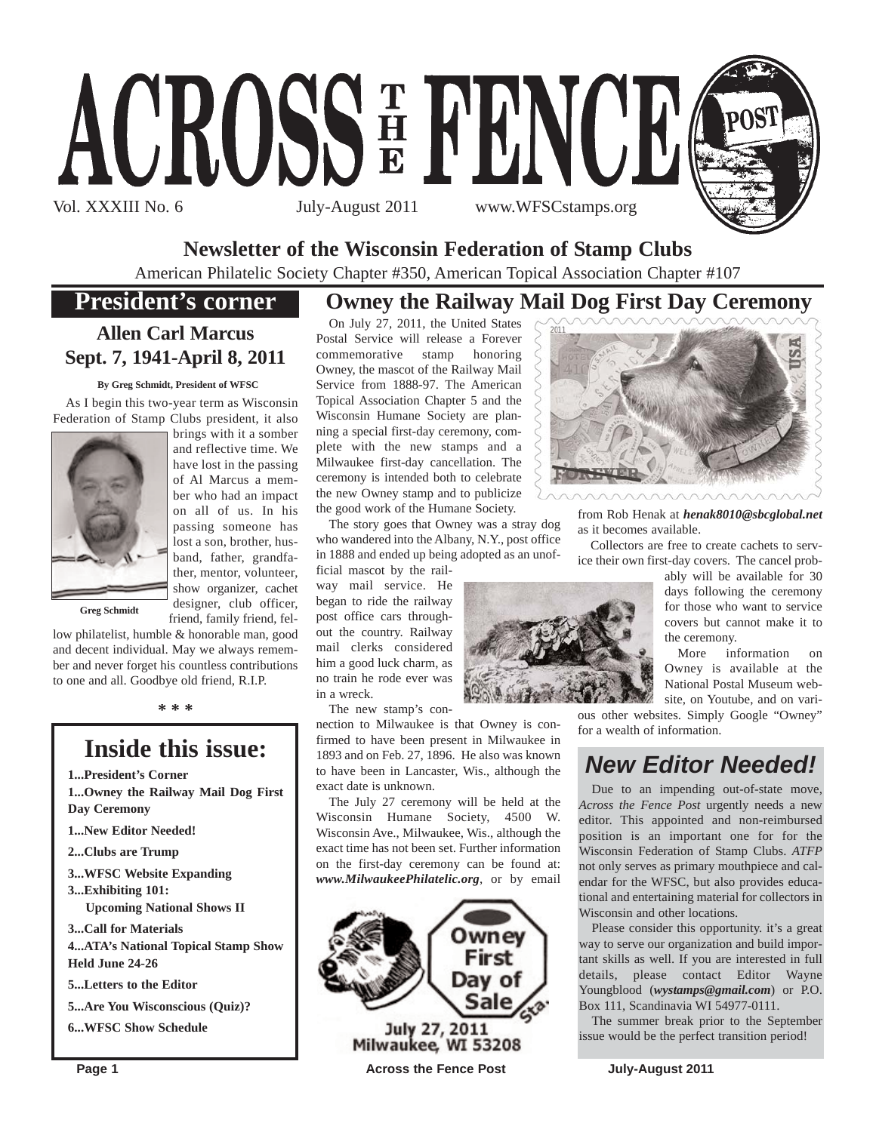





## **Newsletter of the Wisconsin Federation of Stamp Clubs**

American Philatelic Society Chapter #350, American Topical Association Chapter #107

## **President's corner**

## **Owney the Railway Mail Dog First Day Ceremony**

## **Allen Carl Marcus Sept. 7, 1941-April 8, 2011**

#### **By Greg Schmidt, President of WFSC**

As I begin this two-year term as Wisconsin Federation of Stamp Clubs president, it also



brings with it a somber and reflective time. We have lost in the passing of Al Marcus a member who had an impact on all of us. In his passing someone has lost a son, brother, husband, father, grandfather, mentor, volunteer, show organizer, cachet designer, club officer, friend, family friend, fel-

**Greg Schmidt**

low philatelist, humble & honorable man, good and decent individual. May we always remember and never forget his countless contributions to one and all. Goodbye old friend, R.I.P.

**\* \* \***

## **Inside this issue:**

**1...President's Corner**

**1...Owney the Railway Mail Dog First Day Ceremony**

- **1...New Editor Needed!**
- **2...Clubs are Trump**

**3...WFSC Website Expanding 3...Exhibiting 101:**

**Upcoming National Shows II**

**3...Call for Materials 4...ATA's National Topical Stamp Show**

**Held June 24-26**

**5...Letters to the Editor**

**5...Are You Wisconscious (Quiz)?**

**6...WFSC Show Schedule**

On July 27, 2011, the United States Postal Service will release a Forever commemorative stamp honoring Owney, the mascot of the Railway Mail Service from 1888-97. The American Topical Association Chapter 5 and the Wisconsin Humane Society are planning a special first-day ceremony, complete with the new stamps and a Milwaukee first-day cancellation. The ceremony is intended both to celebrate the new Owney stamp and to publicize the good work of the Humane Society.

The story goes that Owney was a stray dog who wandered into the Albany, N.Y., post office in 1888 and ended up being adopted as an unof-

ficial mascot by the railway mail service. He began to ride the railway post office cars throughout the country. Railway mail clerks considered him a good luck charm, as no train he rode ever was in a wreck.

The new stamp's con-

nection to Milwaukee is that Owney is confirmed to have been present in Milwaukee in 1893 and on Feb. 27, 1896. He also was known to have been in Lancaster, Wis., although the exact date is unknown.

The July 27 ceremony will be held at the Wisconsin Humane Society, 4500 W. Wisconsin Ave., Milwaukee, Wis., although the exact time has not been set. Further information on the first-day ceremony can be found at: *www.MilwaukeePhilatelic.org*, or by email







from Rob Henak at *henak8010@sbcglobal.net* as it becomes available.

Collectors are free to create cachets to service their own first-day covers. The cancel prob-

ably will be available for 30 days following the ceremony for those who want to service covers but cannot make it to the ceremony.

More information on Owney is available at the National Postal Museum website, on Youtube, and on vari-

ous other websites. Simply Google "Owney" for a wealth of information.

## *New Editor Needed!*

Due to an impending out-of-state move, *Across the Fence Post* urgently needs a new editor. This appointed and non-reimbursed position is an important one for for the Wisconsin Federation of Stamp Clubs. *ATFP* not only serves as primary mouthpiece and calendar for the WFSC, but also provides educational and entertaining material for collectors in Wisconsin and other locations.

Please consider this opportunity. it's a great way to serve our organization and build important skills as well. If you are interested in full details, please contact Editor Wayne Youngblood (*wystamps@gmail.com*) or P.O. Box 111, Scandinavia WI 54977-0111.

The summer break prior to the September issue would be the perfect transition period!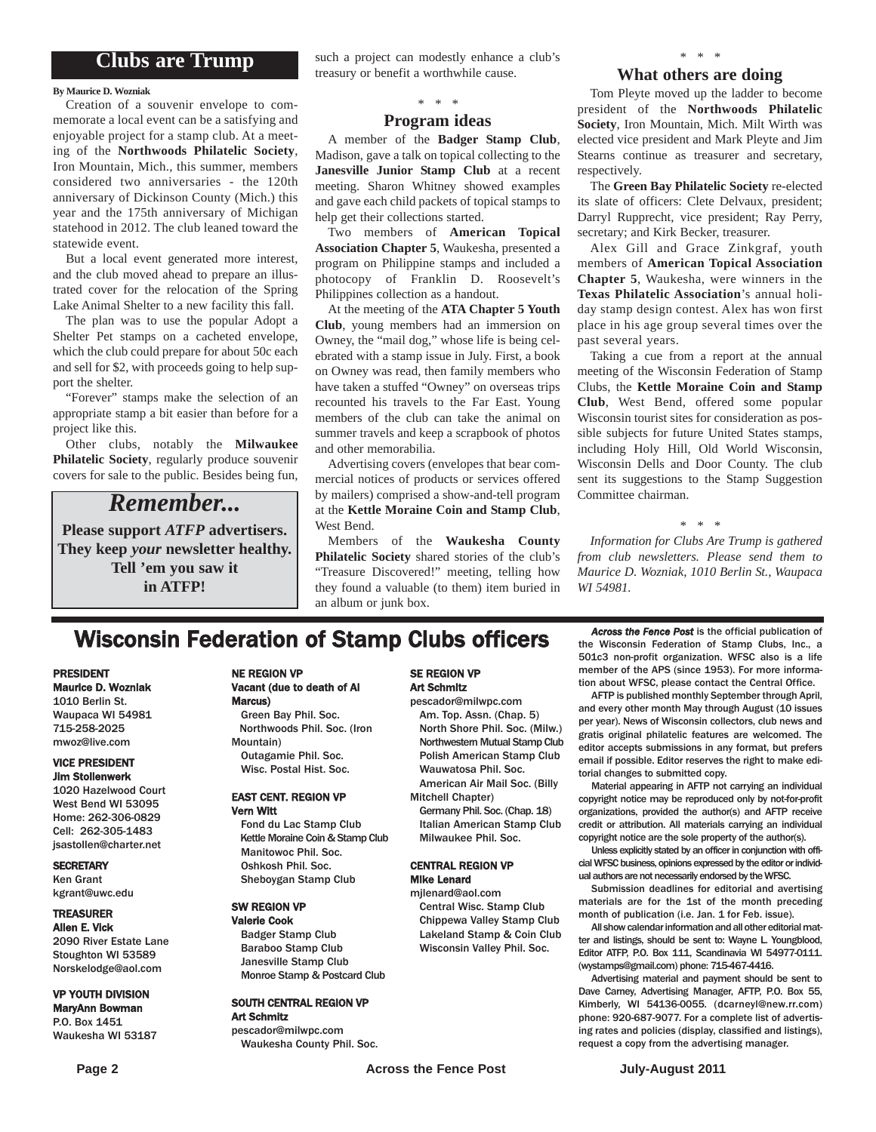## **Clubs are Trump**

#### **By Maurice D. Wozniak**

Creation of a souvenir envelope to commemorate a local event can be a satisfying and enjoyable project for a stamp club. At a meeting of the **Northwoods Philatelic Society**, Iron Mountain, Mich., this summer, members considered two anniversaries - the 120th anniversary of Dickinson County (Mich.) this year and the 175th anniversary of Michigan statehood in 2012. The club leaned toward the statewide event.

But a local event generated more interest, and the club moved ahead to prepare an illustrated cover for the relocation of the Spring Lake Animal Shelter to a new facility this fall.

The plan was to use the popular Adopt a Shelter Pet stamps on a cacheted envelope, which the club could prepare for about 50c each and sell for \$2, with proceeds going to help support the shelter.

"Forever" stamps make the selection of an appropriate stamp a bit easier than before for a project like this.

Other clubs, notably the **Milwaukee Philatelic Society**, regularly produce souvenir covers for sale to the public. Besides being fun,

## *Remember...*

**Please support** *ATFP* **advertisers. They keep** *your* **newsletter healthy. Tell 'em you saw it in ATFP!**

such a project can modestly enhance a club's treasury or benefit a worthwhile cause.

## *\* \* \**

### **Program ideas**

A member of the **Badger Stamp Club**, Madison, gave a talk on topical collecting to the **Janesville Junior Stamp Club** at a recent meeting. Sharon Whitney showed examples and gave each child packets of topical stamps to help get their collections started.

Two members of **American Topical Association Chapter 5**, Waukesha, presented a program on Philippine stamps and included a photocopy of Franklin D. Roosevelt's Philippines collection as a handout.

At the meeting of the **ATA Chapter 5 Youth Club**, young members had an immersion on Owney, the "mail dog," whose life is being celebrated with a stamp issue in July. First, a book on Owney was read, then family members who have taken a stuffed "Owney" on overseas trips recounted his travels to the Far East. Young members of the club can take the animal on summer travels and keep a scrapbook of photos and other memorabilia.

Advertising covers (envelopes that bear commercial notices of products or services offered by mailers) comprised a show-and-tell program at the **Kettle Moraine Coin and Stamp Club**, West Bend.

Members of the **Waukesha County Philatelic Society** shared stories of the club's "Treasure Discovered!" meeting, telling how they found a valuable (to them) item buried in an album or junk box.

### *\* \* \** **What others are doing**

Tom Pleyte moved up the ladder to become president of the **Northwoods Philatelic Society**, Iron Mountain, Mich. Milt Wirth was elected vice president and Mark Pleyte and Jim Stearns continue as treasurer and secretary, respectively.

The **Green Bay Philatelic Society** re-elected its slate of officers: Clete Delvaux, president; Darryl Rupprecht, vice president; Ray Perry, secretary; and Kirk Becker, treasurer.

Alex Gill and Grace Zinkgraf, youth members of **American Topical Association Chapter 5**, Waukesha, were winners in the **Texas Philatelic Association**'s annual holiday stamp design contest. Alex has won first place in his age group several times over the past several years.

Taking a cue from a report at the annual meeting of the Wisconsin Federation of Stamp Clubs, the **Kettle Moraine Coin and Stamp Club**, West Bend, offered some popular Wisconsin tourist sites for consideration as possible subjects for future United States stamps, including Holy Hill, Old World Wisconsin, Wisconsin Dells and Door County. The club sent its suggestions to the Stamp Suggestion Committee chairman.

#### *\* \* \**

*Information for Clubs Are Trump is gathered from club newsletters. Please send them to Maurice D. Wozniak, 1010 Berlin St., Waupaca WI 54981.*

## **Wisconsin Federation of Stamp Clubs officers** *Across the Fence Post* is the official publication of stamp Clubs, Inc., a

#### PRESIDENT Maurice D. Wozniak

1010 Berlin St. Waupaca WI 54981 715-258-2025 mwoz@live.com

## VICE PRESIDENT

## Jim Stollenwerk

1020 Hazelwood Court West Bend WI 53095 Home: 262-306-0829 Cell: 262-305-1483 jsastollen@charter.net

#### **SECRETARY**

Ken Grant kgrant@uwc.edu

### TREASURER

Allen E. Vick 2090 River Estate Lane Stoughton WI 53589 Norskelodge@aol.com

#### VP YOUTH DIVISION MaryAnn Bowman

P.O. Box 1451 Waukesha WI 53187

#### NE REGION VP Vacant (due to death of Al Marcus)

Green Bay Phil. Soc. Northwoods Phil. Soc. (Iron Mountain) Outagamie Phil. Soc. Wisc. Postal Hist. Soc.

#### EAST CENT. REGION VP Vern Witt

Fond du Lac Stamp Club Kettle Moraine Coin & Stamp Club Manitowoc Phil. Soc. Oshkosh Phil. Soc. Sheboygan Stamp Club

## Valerie Cook

Monroe Stamp & Postcard Club

#### SOUTH CENTRAL REGION VP Art Schmitz

pescador@milwpc.com Waukesha County Phil. Soc.

### SE REGION VP Art Schmitz

pescador@milwpc.com Am. Top. Assn. (Chap. 5) North Shore Phil. Soc. (Milw.) Northwestern Mutual Stamp Club Polish American Stamp Club Wauwatosa Phil. Soc. American Air Mail Soc. (Billy

Mitchell Chapter)

Germany Phil. Soc. (Chap. 18) Italian American Stamp Club Milwaukee Phil. Soc.

#### CENTRAL REGION VP Mike Lenard

mjlenard@aol.com Central Wisc. Stamp Club Chippewa Valley Stamp Club Lakeland Stamp & Coin Club Wisconsin Valley Phil. Soc.

the Wisconsin Federation of Stamp Clubs, Inc., a 501c3 non-profit organization. WFSC also is a life member of the APS (since 1953). For more information about WFSC, please contact the Central Office.

AFTP is published monthly September through April, and every other month May through August (10 issues per year). News of Wisconsin collectors, club news and gratis original philatelic features are welcomed. The editor accepts submissions in any format, but prefers email if possible. Editor reserves the right to make editorial changes to submitted copy.

Material appearing in AFTP not carrying an individual copyright notice may be reproduced only by not-for-profit organizations, provided the author(s) and AFTP receive credit or attribution. All materials carrying an individual copyright notice are the sole property of the author(s).

Unless explicitly stated by an officer in conjunction with official WFSC business, opinions expressed by the editor or individual authors are not necessarily endorsed by the WFSC.

Submission deadlines for editorial and avertising materials are for the 1st of the month preceding month of publication (i.e. Jan. 1 for Feb. issue).

All show calendar information and all other editorial matter and listings, should be sent to: Wayne L. Youngblood, Editor ATFP, P.O. Box 111, Scandinavia WI 54977-0111. (wystamps@gmail.com) phone: 715-467-4416.

Advertising material and payment should be sent to Dave Carney, Advertising Manager, AFTP, P.O. Box 55, Kimberly, WI 54136-0055. (dcarneyl@new.rr.com) phone: 920-687-9077. For a complete list of advertising rates and policies (display, classified and listings), request a copy from the advertising manager.

SW REGION VP

Badger Stamp Club Baraboo Stamp Club Janesville Stamp Club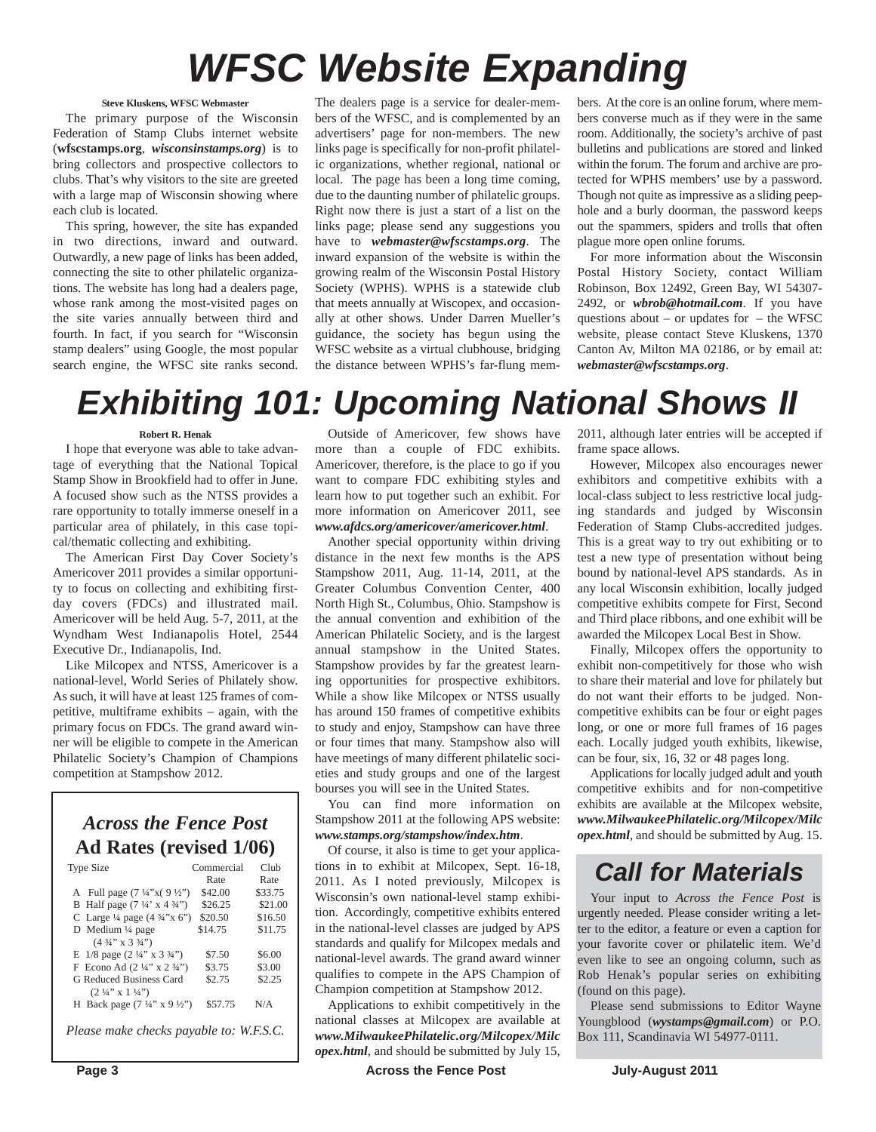# *WFSC Website Expanding*

### **Steve Kluskens, WFSC Webmaster**

The primary purpose of the Wisconsin Federation of Stamp Clubs internet website (**wfscstamps.org**, *wisconsinstamps.org*) is to bring collectors and prospective collectors to clubs. That's why visitors to the site are greeted with a large map of Wisconsin showing where each club is located.

This spring, however, the site has expanded in two directions, inward and outward. Outwardly, a new page of links has been added, connecting the site to other philatelic organizations. The website has long had a dealers page, whose rank among the most-visited pages on the site varies annually between third and fourth. In fact, if you search for "Wisconsin stamp dealers" using Google, the most popular search engine, the WFSC site ranks second.

The dealers page is a service for dealer-members of the WFSC, and is complemented by an advertisers' page for non-members. The new links page is specifically for non-profit philatelic organizations, whether regional, national or local. The page has been a long time coming, due to the daunting number of philatelic groups. Right now there is just a start of a list on the links page; please send any suggestions you have to *webmaster@wfscstamps.org*. The inward expansion of the website is within the growing realm of the Wisconsin Postal History Society (WPHS). WPHS is a statewide club that meets annually at Wiscopex, and occasionally at other shows. Under Darren Mueller's guidance, the society has begun using the WFSC website as a virtual clubhouse, bridging the distance between WPHS's far-flung members. At the core is an online forum, where members converse much as if they were in the same room. Additionally, the society's archive of past bulletins and publications are stored and linked within the forum. The forum and archive are protected for WPHS members' use by a password. Though not quite as impressive as a sliding peephole and a burly doorman, the password keeps out the spammers, spiders and trolls that often plague more open online forums.

For more information about the Wisconsin Postal History Society, contact William Robinson, Box 12492, Green Bay, WI 54307- 2492, or *wbrob@hotmail.com*. If you have questions about – or updates for – the WFSC website, please contact Steve Kluskens, 1370 Canton Av, Milton MA 02186, or by email at: *webmaster@wfscstamps.org*.

## *Exhibiting 101: Upcoming National Shows II*

#### **Robert R. Henak**

I hope that everyone was able to take advantage of everything that the National Topical Stamp Show in Brookfield had to offer in June. A focused show such as the NTSS provides a rare opportunity to totally immerse oneself in a particular area of philately, in this case topical/thematic collecting and exhibiting.

The American First Day Cover Society's Americover 2011 provides a similar opportunity to focus on collecting and exhibiting firstday covers (FDCs) and illustrated mail. Americover will be held Aug. 5-7, 2011, at the Wyndham West Indianapolis Hotel, 2544 Executive Dr., Indianapolis, Ind.

Like Milcopex and NTSS, Americover is a national-level, World Series of Philately show. As such, it will have at least 125 frames of competitive, multiframe exhibits – again, with the primary focus on FDCs. The grand award winner will be eligible to compete in the American Philatelic Society's Champion of Champions competition at Stampshow 2012.

## *Across the Fence Post* **Ad Rates (revised 1/06)**

| <b>Type Size</b>                                             | Commercial | Club    |
|--------------------------------------------------------------|------------|---------|
|                                                              | Rate       | Rate    |
| A Full page $(7\frac{1}{4}x)(9\frac{1}{2}x)$                 | \$42.00    | \$33.75 |
| B Half page $(7\frac{1}{4} \times 4\frac{3}{4})$             | \$26.25    | \$21.00 |
| C Large $\frac{1}{4}$ page $(4 \frac{3}{4} x)^{1} (x^2)^{1}$ | \$20.50    | \$16.50 |
| D Medium $\frac{1}{4}$ page                                  | \$14.75    | \$11.75 |
| $(4\frac{3}{4}$ " x 3 $\frac{3}{4}$ ")                       |            |         |
| E $1/8$ page $(2\frac{1}{4}$ " x $3\frac{3}{4}$ ")           | \$7.50     | \$6.00  |
| F Econo Ad $(2\frac{1}{4}$ " x $2\frac{3}{4}$ ")             | \$3.75     | \$3.00  |
| G Reduced Business Card                                      | \$2.75     | \$2.25  |
| $(2\frac{1}{4}$ " x $1\frac{1}{4}$ ")                        |            |         |
| H Back page $(7\frac{1}{4}$ " x 9 ½")                        | \$57.75    | N/A     |
|                                                              |            |         |
|                                                              |            |         |

*Please make checks payable to: W.F.S.C.*

Outside of Americover, few shows have more than a couple of FDC exhibits. Americover, therefore, is the place to go if you want to compare FDC exhibiting styles and learn how to put together such an exhibit. For more information on Americover 2011, see *www.afdcs.org/americover/americover.html*.

Another special opportunity within driving distance in the next few months is the APS Stampshow 2011, Aug. 11-14, 2011, at the Greater Columbus Convention Center, 400 North High St., Columbus, Ohio. Stampshow is the annual convention and exhibition of the American Philatelic Society, and is the largest annual stampshow in the United States. Stampshow provides by far the greatest learning opportunities for prospective exhibitors. While a show like Milcopex or NTSS usually has around 150 frames of competitive exhibits to study and enjoy, Stampshow can have three or four times that many. Stampshow also will have meetings of many different philatelic societies and study groups and one of the largest bourses you will see in the United States.

You can find more information on Stampshow 2011 at the following APS website: *www.stamps.org/stampshow/index.htm*.

Of course, it also is time to get your applications in to exhibit at Milcopex, Sept. 16-18, 2011. As I noted previously, Milcopex is Wisconsin's own national-level stamp exhibition. Accordingly, competitive exhibits entered in the national-level classes are judged by APS standards and qualify for Milcopex medals and national-level awards. The grand award winner qualifies to compete in the APS Champion of Champion competition at Stampshow 2012.

Applications to exhibit competitively in the national classes at Milcopex are available at *www.MilwaukeePhilatelic.org/Milcopex/Milc opex.html*, and should be submitted by July 15, 2011, although later entries will be accepted if frame space allows.

However, Milcopex also encourages newer exhibitors and competitive exhibits with a local-class subject to less restrictive local judging standards and judged by Wisconsin Federation of Stamp Clubs-accredited judges. This is a great way to try out exhibiting or to test a new type of presentation without being bound by national-level APS standards. As in any local Wisconsin exhibition, locally judged competitive exhibits compete for First, Second and Third place ribbons, and one exhibit will be awarded the Milcopex Local Best in Show.

Finally, Milcopex offers the opportunity to exhibit non-competitively for those who wish to share their material and love for philately but do not want their efforts to be judged. Noncompetitive exhibits can be four or eight pages long, or one or more full frames of 16 pages each. Locally judged youth exhibits, likewise, can be four, six, 16, 32 or 48 pages long.

Applications for locally judged adult and youth competitive exhibits and for non-competitive exhibits are available at the Milcopex website, *www.MilwaukeePhilatelic.org/Milcopex/Milc opex.html*, and should be submitted by Aug. 15.

## *Call for Materials*

Your input to *Across the Fence Post* is urgently needed. Please consider writing a letter to the editor, a feature or even a caption for your favorite cover or philatelic item. We'd even like to see an ongoing column, such as Rob Henak's popular series on exhibiting (found on this page).

Please send submissions to Editor Wayne Youngblood (*wystamps@gmail.com*) or P.O. Box 111, Scandinavia WI 54977-0111.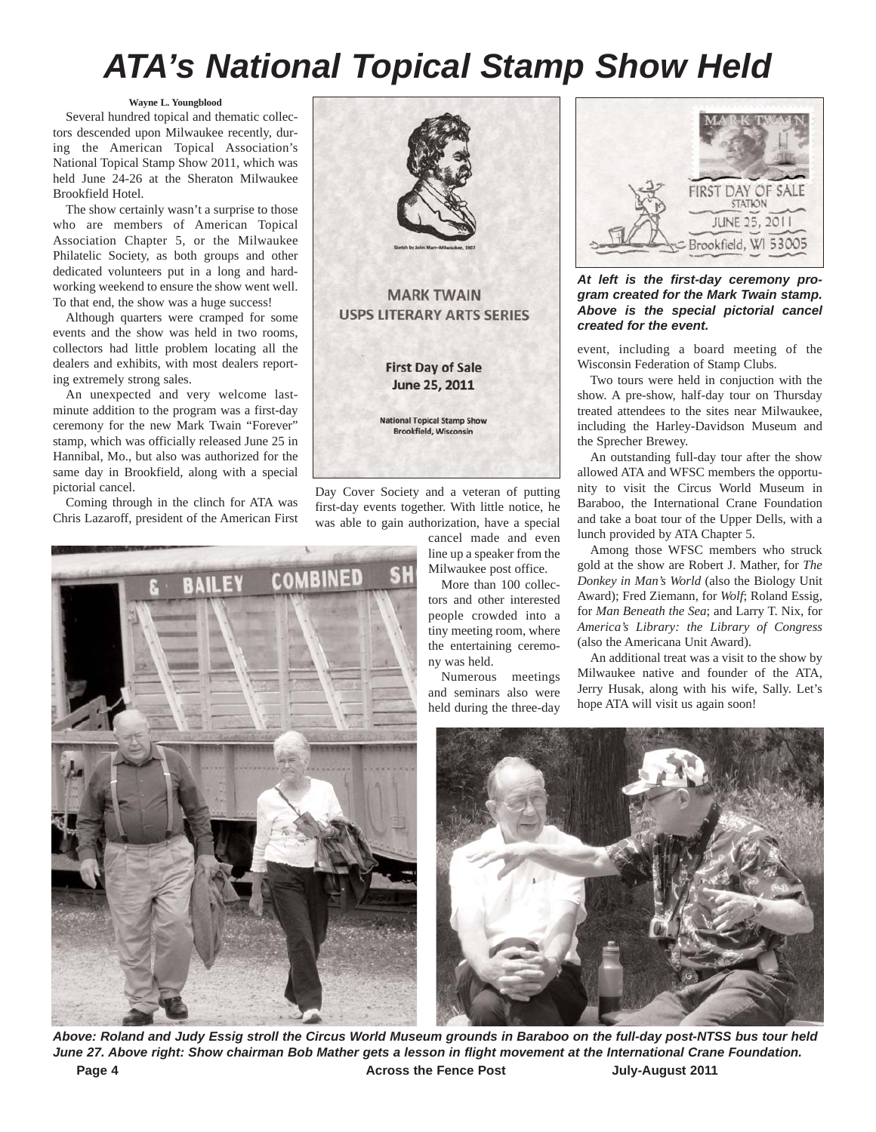## *ATA's National Topical Stamp Show Held*

#### **Wayne L. Youngblood**

Several hundred topical and thematic collectors descended upon Milwaukee recently, during the American Topical Association's National Topical Stamp Show 2011, which was held June 24-26 at the Sheraton Milwaukee Brookfield Hotel.

The show certainly wasn't a surprise to those who are members of American Topical Association Chapter 5, or the Milwaukee Philatelic Society, as both groups and other dedicated volunteers put in a long and hardworking weekend to ensure the show went well. To that end, the show was a huge success!

Although quarters were cramped for some events and the show was held in two rooms, collectors had little problem locating all the dealers and exhibits, with most dealers reporting extremely strong sales.

An unexpected and very welcome lastminute addition to the program was a first-day ceremony for the new Mark Twain "Forever" stamp, which was officially released June 25 in Hannibal, Mo., but also was authorized for the same day in Brookfield, along with a special pictorial cancel.

Coming through in the clinch for ATA was Chris Lazaroff, president of the American First



Day Cover Society and a veteran of putting first-day events together. With little notice, he was able to gain authorization, have a special

> cancel made and even line up a speaker from the Milwaukee post office.

> More than 100 collectors and other interested people crowded into a tiny meeting room, where the entertaining ceremony was held.

Numerous meetings and seminars also were held during the three-day

| FIRST DAY OF SALE<br><b>STATION</b>   |
|---------------------------------------|
| JUNE 25, 2011<br>Brookfield, WI 53005 |

*At left is the first-day ceremony program created for the Mark Twain stamp. Above is the special pictorial cancel created for the event.* 

event, including a board meeting of the Wisconsin Federation of Stamp Clubs.

Two tours were held in conjuction with the show. A pre-show, half-day tour on Thursday treated attendees to the sites near Milwaukee, including the Harley-Davidson Museum and the Sprecher Brewey.

An outstanding full-day tour after the show allowed ATA and WFSC members the opportunity to visit the Circus World Museum in Baraboo, the International Crane Foundation and take a boat tour of the Upper Dells, with a lunch provided by ATA Chapter 5.

Among those WFSC members who struck gold at the show are Robert J. Mather, for *The Donkey in Man's World* (also the Biology Unit Award); Fred Ziemann, for *Wolf*; Roland Essig, for *Man Beneath the Sea*; and Larry T. Nix, for *America's Library: the Library of Congress* (also the Americana Unit Award).

An additional treat was a visit to the show by Milwaukee native and founder of the ATA, Jerry Husak, along with his wife, Sally. Let's hope ATA will visit us again soon!



Page 4 **Across the Fence Post** July-August 2011 *Above: Roland and Judy Essig stroll the Circus World Museum grounds in Baraboo on the full-day post-NTSS bus tour held June 27. Above right: Show chairman Bob Mather gets a lesson in flight movement at the International Crane Foundation.*

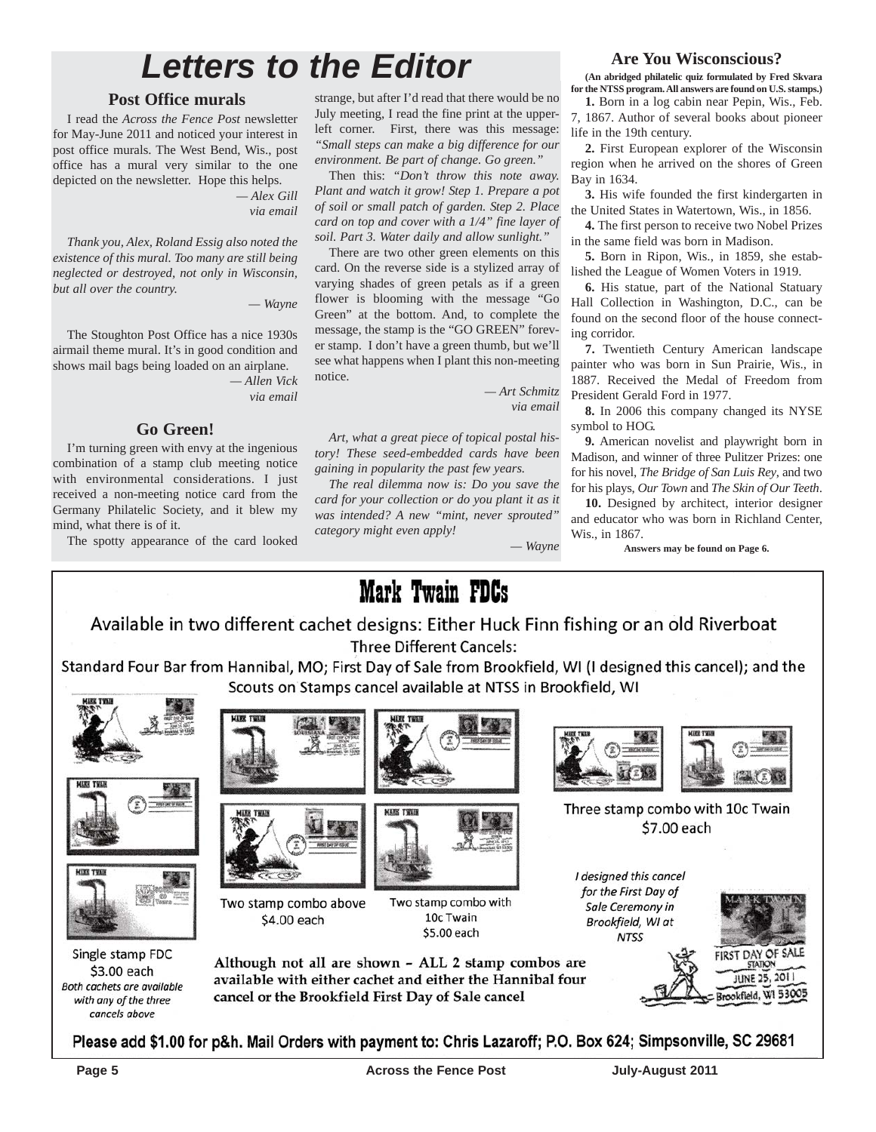## *Letters to the Editor*

## **Post Office murals**

I read the *Across the Fence Post* newsletter for May-June 2011 and noticed your interest in post office murals. The West Bend, Wis., post office has a mural very similar to the one depicted on the newsletter. Hope this helps.

*— Alex Gill via email*

*Thank you, Alex, Roland Essig also noted the existence of this mural. Too many are still being neglected or destroyed, not only in Wisconsin, but all over the country.*

*— Wayne*

The Stoughton Post Office has a nice 1930s airmail theme mural. It's in good condition and shows mail bags being loaded on an airplane.

*— Allen Vick via email*

### **Go Green!**

I'm turning green with envy at the ingenious combination of a stamp club meeting notice with environmental considerations. I just received a non-meeting notice card from the Germany Philatelic Society, and it blew my mind, what there is of it.

The spotty appearance of the card looked

strange, but after I'd read that there would be no July meeting, I read the fine print at the upperleft corner. First, there was this message: *"Small steps can make a big difference for our environment. Be part of change. Go green."*

Then this: *"Don't throw this note away. Plant and watch it grow! Step 1. Prepare a pot of soil or small patch of garden. Step 2. Place card on top and cover with a 1/4" fine layer of soil. Part 3. Water daily and allow sunlight."*

There are two other green elements on this card. On the reverse side is a stylized array of varying shades of green petals as if a green flower is blooming with the message "Go Green" at the bottom. And, to complete the message, the stamp is the "GO GREEN" forever stamp. I don't have a green thumb, but we'll see what happens when I plant this non-meeting notice.

> *— Art Schmitz via email*

> > *— Wayne*

*Art, what a great piece of topical postal history! These seed-embedded cards have been gaining in popularity the past few years.*

*The real dilemma now is: Do you save the card for your collection or do you plant it as it was intended? A new "mint, never sprouted" category might even apply!*

## **Are You Wisconscious?**

**(An abridged philatelic quiz formulated by Fred Skvara for the NTSS program. All answers are found on U.S. stamps.)**

**1.** Born in a log cabin near Pepin, Wis., Feb. 7, 1867. Author of several books about pioneer life in the 19th century.

**2.** First European explorer of the Wisconsin region when he arrived on the shores of Green Bay in 1634.

**3.** His wife founded the first kindergarten in the United States in Watertown, Wis., in 1856.

**4.** The first person to receive two Nobel Prizes in the same field was born in Madison.

**5.** Born in Ripon, Wis., in 1859, she established the League of Women Voters in 1919.

**6.** His statue, part of the National Statuary Hall Collection in Washington, D.C., can be found on the second floor of the house connecting corridor.

**7.** Twentieth Century American landscape painter who was born in Sun Prairie, Wis., in 1887. Received the Medal of Freedom from President Gerald Ford in 1977.

**8.** In 2006 this company changed its NYSE symbol to HOG.

**9.** American novelist and playwright born in Madison, and winner of three Pulitzer Prizes: one for his novel, *The Bridge of San Luis Rey*, and two for his plays, *Our Town* and *The Skin of Our Teeth*.

**10.** Designed by architect, interior designer and educator who was born in Richland Center, Wis. in 1867.

**Answers may be found on Page 6.**



Please add \$1.00 for p&h. Mail Orders with payment to: Chris Lazaroff; P.O. Box 624; Simpsonville, SC 29681